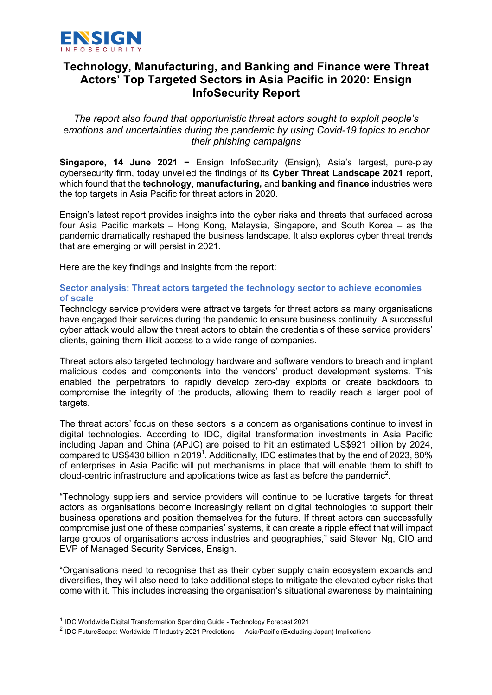

# **Technology, Manufacturing, and Banking and Finance were Threat Actors' Top Targeted Sectors in Asia Pacific in 2020: Ensign InfoSecurity Report**

*The report also found that opportunistic threat actors sought to exploit people's emotions and uncertainties during the pandemic by using Covid-19 topics to anchor their phishing campaigns* 

**Singapore, 14 June 2021 −** Ensign InfoSecurity (Ensign), Asia's largest, pure-play cybersecurity firm, today unveiled the findings of its **Cyber Threat Landscape 2021** report, which found that the **technology**, **manufacturing,** and **banking and finance** industries were the top targets in Asia Pacific for threat actors in 2020.

Ensign's latest report provides insights into the cyber risks and threats that surfaced across four Asia Pacific markets – Hong Kong, Malaysia, Singapore, and South Korea – as the pandemic dramatically reshaped the business landscape. It also explores cyber threat trends that are emerging or will persist in 2021.

Here are the key findings and insights from the report:

# **Sector analysis: Threat actors targeted the technology sector to achieve economies of scale**

Technology service providers were attractive targets for threat actors as many organisations have engaged their services during the pandemic to ensure business continuity. A successful cyber attack would allow the threat actors to obtain the credentials of these service providers' clients, gaining them illicit access to a wide range of companies.

Threat actors also targeted technology hardware and software vendors to breach and implant malicious codes and components into the vendors' product development systems. This enabled the perpetrators to rapidly develop zero-day exploits or create backdoors to compromise the integrity of the products, allowing them to readily reach a larger pool of targets.

The threat actors' focus on these sectors is a concern as organisations continue to invest in digital technologies. According to IDC, digital transformation investments in Asia Pacific including Japan and China (APJC) are poised to hit an estimated US\$921 billion by 2024, compared to US\$430 billion in 2019<sup>1</sup>. Additionally, IDC estimates that by the end of 2023, 80% of enterprises in Asia Pacific will put mechanisms in place that will enable them to shift to cloud-centric infrastructure and applications twice as fast as before the pandemic<sup>2</sup>.

"Technology suppliers and service providers will continue to be lucrative targets for threat actors as organisations become increasingly reliant on digital technologies to support their business operations and position themselves for the future. If threat actors can successfully compromise just one of these companies' systems, it can create a ripple effect that will impact large groups of organisations across industries and geographies," said Steven Ng, CIO and EVP of Managed Security Services, Ensign.

"Organisations need to recognise that as their cyber supply chain ecosystem expands and diversifies, they will also need to take additional steps to mitigate the elevated cyber risks that come with it. This includes increasing the organisation's situational awareness by maintaining

<sup>1</sup> IDC Worldwide Digital Transformation Spending Guide - Technology Forecast 2021

<sup>&</sup>lt;sup>2</sup> IDC FutureScape: Worldwide IT Industry 2021 Predictions — Asia/Pacific (Excluding Japan) Implications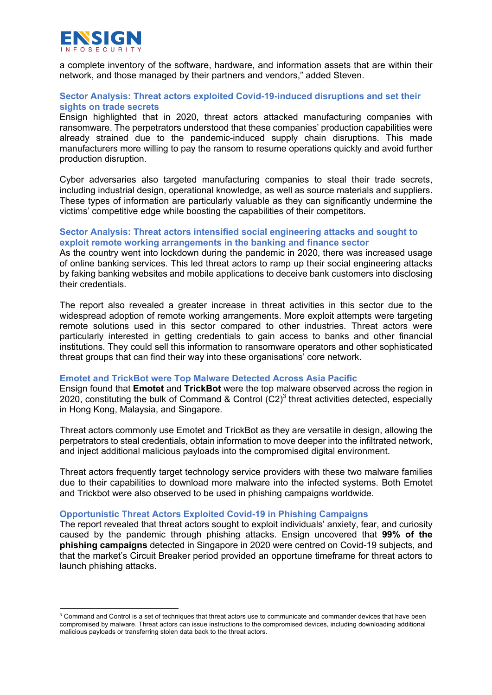

a complete inventory of the software, hardware, and information assets that are within their network, and those managed by their partners and vendors," added Steven.

# **Sector Analysis: Threat actors exploited Covid-19-induced disruptions and set their sights on trade secrets**

Ensign highlighted that in 2020, threat actors attacked manufacturing companies with ransomware. The perpetrators understood that these companies' production capabilities were already strained due to the pandemic-induced supply chain disruptions. This made manufacturers more willing to pay the ransom to resume operations quickly and avoid further production disruption.

Cyber adversaries also targeted manufacturing companies to steal their trade secrets, including industrial design, operational knowledge, as well as source materials and suppliers. These types of information are particularly valuable as they can significantly undermine the victims' competitive edge while boosting the capabilities of their competitors.

## **Sector Analysis: Threat actors intensified social engineering attacks and sought to exploit remote working arrangements in the banking and finance sector**

As the country went into lockdown during the pandemic in 2020, there was increased usage of online banking services. This led threat actors to ramp up their social engineering attacks by faking banking websites and mobile applications to deceive bank customers into disclosing their credentials.

The report also revealed a greater increase in threat activities in this sector due to the widespread adoption of remote working arrangements. More exploit attempts were targeting remote solutions used in this sector compared to other industries. Threat actors were particularly interested in getting credentials to gain access to banks and other financial institutions. They could sell this information to ransomware operators and other sophisticated threat groups that can find their way into these organisations' core network.

#### **Emotet and TrickBot were Top Malware Detected Across Asia Pacific**

Ensign found that **Emotet** and **TrickBot** were the top malware observed across the region in 2020, constituting the bulk of Command & Control  $(C2)^3$  threat activities detected, especially in Hong Kong, Malaysia, and Singapore.

Threat actors commonly use Emotet and TrickBot as they are versatile in design, allowing the perpetrators to steal credentials, obtain information to move deeper into the infiltrated network, and inject additional malicious payloads into the compromised digital environment.

Threat actors frequently target technology service providers with these two malware families due to their capabilities to download more malware into the infected systems. Both Emotet and Trickbot were also observed to be used in phishing campaigns worldwide.

#### **Opportunistic Threat Actors Exploited Covid-19 in Phishing Campaigns**

The report revealed that threat actors sought to exploit individuals' anxiety, fear, and curiosity caused by the pandemic through phishing attacks. Ensign uncovered that **99% of the phishing campaigns** detected in Singapore in 2020 were centred on Covid-19 subjects, and that the market's Circuit Breaker period provided an opportune timeframe for threat actors to launch phishing attacks.

<sup>&</sup>lt;sup>3</sup> Command and Control is a set of techniques that threat actors use to communicate and commander devices that have been compromised by malware. Threat actors can issue instructions to the compromised devices, including downloading additional malicious payloads or transferring stolen data back to the threat actors.